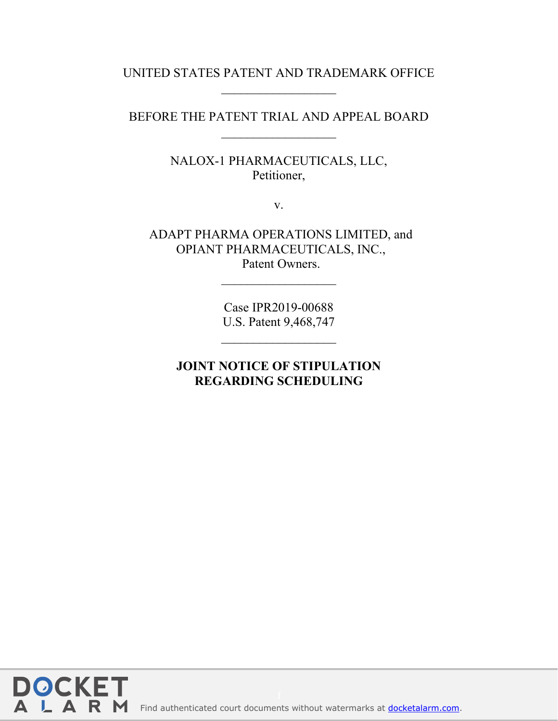## UNITED STATES PATENT AND TRADEMARK OFFICE  $\mathcal{L}_\text{max}$  , where  $\mathcal{L}_\text{max}$

BEFORE THE PATENT TRIAL AND APPEAL BOARD  $\mathcal{L}_\text{max}$  , where  $\mathcal{L}_\text{max}$ 

> NALOX-1 PHARMACEUTICALS, LLC, Petitioner,

> > v.

ADAPT PHARMA OPERATIONS LIMITED, and OPIANT PHARMACEUTICALS, INC., Patent Owners.

> Case IPR2019-00688 U.S. Patent 9,468,747

**JOINT NOTICE OF STIPULATION REGARDING SCHEDULING**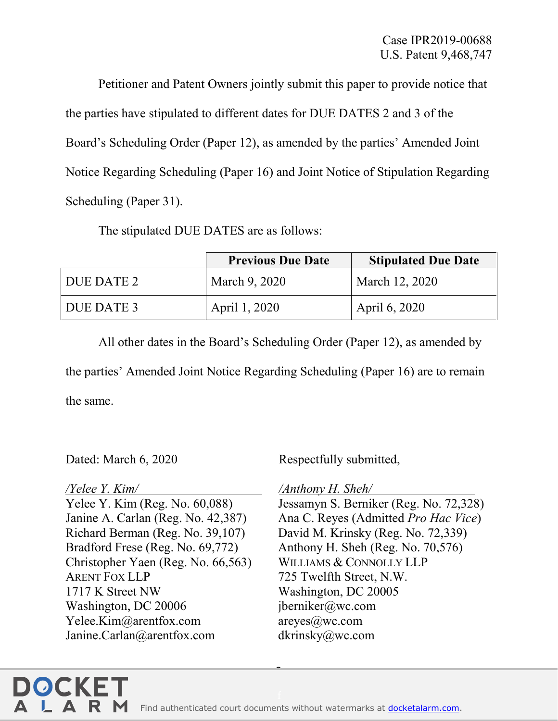Petitioner and Patent Owners jointly submit this paper to provide notice that the parties have stipulated to different dates for DUE DATES 2 and 3 of the Board's Scheduling Order (Paper 12), as amended by the parties' Amended Joint Notice Regarding Scheduling (Paper 16) and Joint Notice of Stipulation Regarding Scheduling (Paper 31).

The stipulated DUE DATES are as follows:

|            | <b>Previous Due Date</b> | <b>Stipulated Due Date</b> |
|------------|--------------------------|----------------------------|
| DUE DATE 2 | March 9, 2020            | March 12, 2020             |
| DUE DATE 3 | April 1, 2020            | April $6, 2020$            |

All other dates in the Board's Scheduling Order (Paper 12), as amended by the parties' Amended Joint Notice Regarding Scheduling (Paper 16) are to remain the same.

*/Yelee Y. Kim/* Yelee Y. Kim (Reg. No. 60,088) Janine A. Carlan (Reg. No. 42,387) Richard Berman (Reg. No. 39,107) Bradford Frese (Reg. No. 69,772) Christopher Yaen (Reg. No. 66,563) ARENT FOX LLP 1717 K Street NW Washington, DC 20006 Yelee.Kim@arentfox.com Janine.Carlan@arentfox.com

Dated: March 6, 2020 Respectfully submitted,

*/Anthony H. Sheh/* Jessamyn S. Berniker (Reg. No. 72,328) Ana C. Reyes (Admitted *Pro Hac Vice*) David M. Krinsky (Reg. No. 72,339) Anthony H. Sheh (Reg. No. 70,576) WILLIAMS & CONNOLLY LLP 725 Twelfth Street, N.W. Washington, DC 20005 jberniker@wc.com areyes@wc.com dkrinsky@wc.com

 $\hat{z}$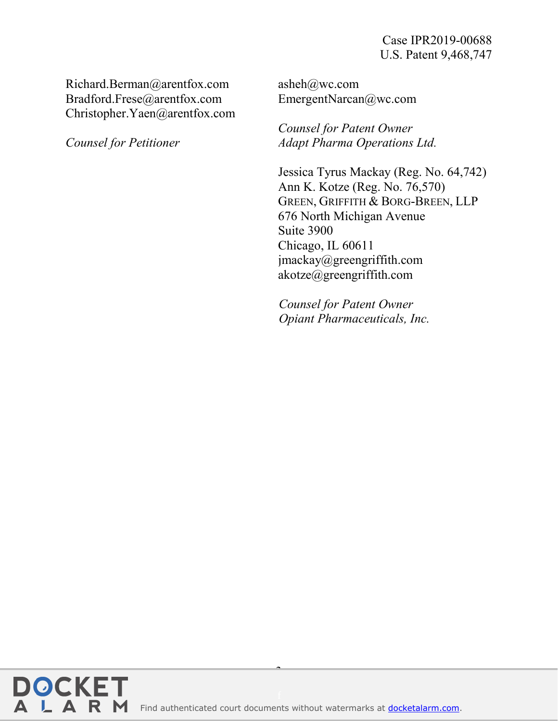Richard.Berman@arentfox.com Bradford.Frese@arentfox.com Christopher.Yaen@arentfox.com

*Counsel for Petitioner* 

asheh@wc.com EmergentNarcan@wc.com

*Counsel for Patent Owner Adapt Pharma Operations Ltd.* 

Jessica Tyrus Mackay (Reg. No. 64,742) Ann K. Kotze (Reg. No. 76,570) GREEN, GRIFFITH & BORG-BREEN, LLP 676 North Michigan Avenue Suite 3900 Chicago, IL 60611 jmackay@greengriffith.com akotze@greengriffith.com

*Counsel for Patent Owner Opiant Pharmaceuticals, Inc.*